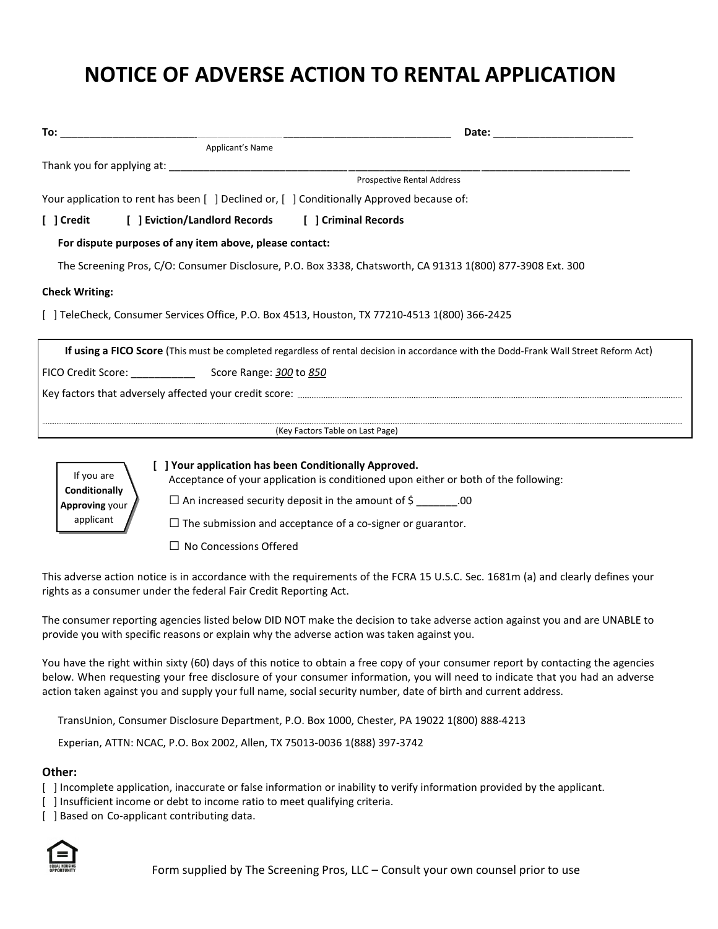# **NOTICE OF ADVERSE ACTION TO RENTAL APPLICATION**

|                                                                                           | Date: _________________________                                                                                                       |
|-------------------------------------------------------------------------------------------|---------------------------------------------------------------------------------------------------------------------------------------|
| Applicant's Name                                                                          |                                                                                                                                       |
|                                                                                           |                                                                                                                                       |
|                                                                                           | <b>Prospective Rental Address</b>                                                                                                     |
| Your application to rent has been [ ] Declined or, [ ] Conditionally Approved because of: |                                                                                                                                       |
| [ ] Credit [ ] Eviction/Landlord Records [ ] Criminal Records                             |                                                                                                                                       |
| For dispute purposes of any item above, please contact:                                   |                                                                                                                                       |
|                                                                                           | The Screening Pros, C/O: Consumer Disclosure, P.O. Box 3338, Chatsworth, CA 91313 1(800) 877-3908 Ext. 300                            |
| <b>Check Writing:</b>                                                                     |                                                                                                                                       |
|                                                                                           | TeleCheck, Consumer Services Office, P.O. Box 4513, Houston, TX 77210-4513 1(800) 366-2425                                            |
|                                                                                           | If using a FICO Score (This must be completed regardless of rental decision in accordance with the Dodd-Frank Wall Street Reform Act) |
|                                                                                           |                                                                                                                                       |
|                                                                                           |                                                                                                                                       |
|                                                                                           | (Key Factors Table on Last Page)                                                                                                      |



#### **[ ] Your application has been Conditionally Approved.**

Acceptance of your application is conditioned upon either or both of the following:

 $\square$  An increased security deposit in the amount of  $\zeta$  .00

 $\square$  The submission and acceptance of a co-signer or guarantor.

□ No Concessions Offered

This adverse action notice is in accordance with the requirements of the FCRA 15 U.S.C. Sec. 1681m (a) and clearly defines your rights as a consumer under the federal Fair Credit Reporting Act.

The consumer reporting agencies listed below DID NOT make the decision to take adverse action against you and are UNABLE to provide you with specific reasons or explain why the adverse action was taken against you.

You have the right within sixty (60) days of this notice to obtain a free copy of your consumer report by contacting the agencies below. When requesting your free disclosure of your consumer information, you will need to indicate that you had an adverse action taken against you and supply your full name, social security number, date of birth and current address.

TransUnion, Consumer Disclosure Department, P.O. Box 1000, Chester, PA 19022 1(800) 888-4213

Experian, ATTN: NCAC, P.O. Box 2002, Allen, TX 75013-0036 1(888) 397-3742

#### **Other:**

- [ ] Incomplete application, inaccurate or false information or inability to verify information provided by the applicant.
- [ ] Insufficient income or debt to income ratio to meet qualifying criteria.
- [ ] Based on Co-applicant contributing data.

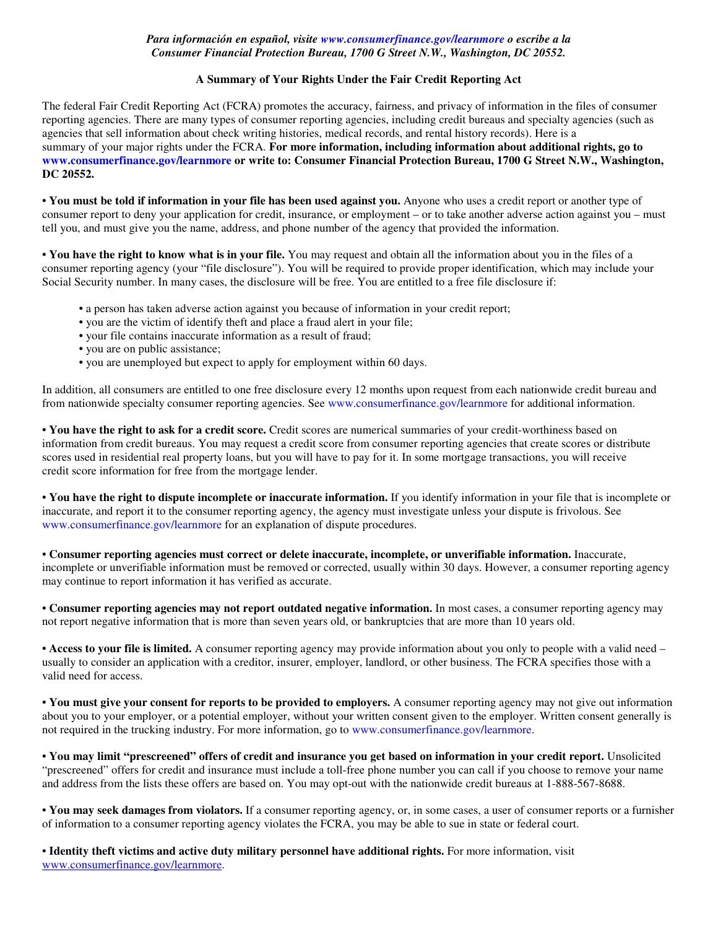### *Para información en español, visite www.consumerfinance.gov/learnmore o escribe a la Consumer Financial Protection Bureau, 1700 G Street N.W., Washington, DC 20552.*

## **A Summary of Your Rights Under the Fair Credit Reporting Act**

The federal Fair Credit Reporting Act (FCRA) promotes the accuracy, fairness, and privacy of information in the files of consumer reporting agencies. There are many types of consumer reporting agencies, including credit bureaus and specialty agencies (such as agencies that sell information about check writing histories, medical records, and rental history records). Here is a summary of your major rights under the FCRA. **For more information, including information about additional rights, go to www.consumerfinance.gov/learnmore or write to: Consumer Financial Protection Bureau, 1700 G Street N.W., Washington, DC 20552.** 

• **You must be told if information in your file has been used against you.** Anyone who uses a credit report or another type of consumer report to deny your application for credit, insurance, or employment – or to take another adverse action against you – must tell you, and must give you the name, address, and phone number of the agency that provided the information.

• **You have the right to know what is in your file.** You may request and obtain all the information about you in the files of a consumer reporting agency (your "file disclosure"). You will be required to provide proper identification, which may include your Social Security number. In many cases, the disclosure will be free. You are entitled to a free file disclosure if:

- a person has taken adverse action against you because of information in your credit report;
- you are the victim of identify theft and place a fraud alert in your file;
- your file contains inaccurate information as a result of fraud;
- you are on public assistance;
- you are unemployed but expect to apply for employment within 60 days.

In addition, all consumers are entitled to one free disclosure every 12 months upon request from each nationwide credit bureau and from nationwide specialty consumer reporting agencies. See www.consumerfinance.gov/learnmore for additional information.

• **You have the right to ask for a credit score.** Credit scores are numerical summaries of your credit-worthiness based on information from credit bureaus. You may request a credit score from consumer reporting agencies that create scores or distribute scores used in residential real property loans, but you will have to pay for it. In some mortgage transactions, you will receive credit score information for free from the mortgage lender.

• **You have the right to dispute incomplete or inaccurate information.** If you identify information in your file that is incomplete or inaccurate, and report it to the consumer reporting agency, the agency must investigate unless your dispute is frivolous. See www.consumerfinance.gov/learnmore for an explanation of dispute procedures.

• **Consumer reporting agencies must correct or delete inaccurate, incomplete, or unverifiable information.** Inaccurate, incomplete or unverifiable information must be removed or corrected, usually within 30 days. However, a consumer reporting agency may continue to report information it has verified as accurate.

• **Consumer reporting agencies may not report outdated negative information.** In most cases, a consumer reporting agency may not report negative information that is more than seven years old, or bankruptcies that are more than 10 years old.

• **Access to your file is limited.** A consumer reporting agency may provide information about you only to people with a valid need – usually to consider an application with a creditor, insurer, employer, landlord, or other business. The FCRA specifies those with a valid need for access.

• **You must give your consent for reports to be provided to employers.** A consumer reporting agency may not give out information about you to your employer, or a potential employer, without your written consent given to the employer. Written consent generally is not required in the trucking industry. For more information, go to www.consumerfinance.gov/learnmore.

• **You may limit "prescreened" offers of credit and insurance you get based on information in your credit report.** Unsolicited "prescreened" offers for credit and insurance must include a toll-free phone number you can call if you choose to remove your name and address from the lists these offers are based on. You may opt-out with the nationwide credit bureaus at 1-888-567-8688.

• **You may seek damages from violators.** If a consumer reporting agency, or, in some cases, a user of consumer reports or a furnisher of information to a consumer reporting agency violates the FCRA, you may be able to sue in state or federal court.

• **Identity theft victims and active duty military personnel have additional rights.** For more information, visit www.consumerfinance.gov/learnmore.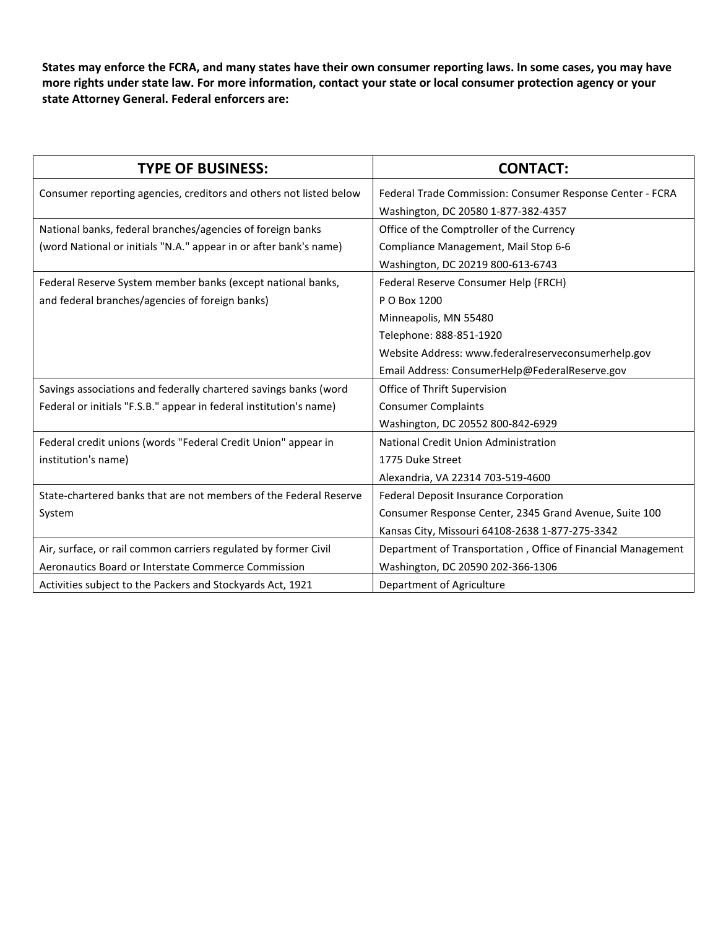**States may enforce the FCRA, and many states have their own consumer reporting laws. In some cases, you may have more rights under state law. For more information, contact your state or local consumer protection agency or your state Attorney General. Federal enforcers are:**

| <b>TYPE OF BUSINESS:</b>                                           | <b>CONTACT:</b>                                              |  |  |
|--------------------------------------------------------------------|--------------------------------------------------------------|--|--|
| Consumer reporting agencies, creditors and others not listed below | Federal Trade Commission: Consumer Response Center - FCRA    |  |  |
|                                                                    | Washington, DC 20580 1-877-382-4357                          |  |  |
| National banks, federal branches/agencies of foreign banks         | Office of the Comptroller of the Currency                    |  |  |
| (word National or initials "N.A." appear in or after bank's name)  | Compliance Management, Mail Stop 6-6                         |  |  |
|                                                                    | Washington, DC 20219 800-613-6743                            |  |  |
| Federal Reserve System member banks (except national banks,        | Federal Reserve Consumer Help (FRCH)                         |  |  |
| and federal branches/agencies of foreign banks)                    | P O Box 1200                                                 |  |  |
|                                                                    | Minneapolis, MN 55480                                        |  |  |
|                                                                    | Telephone: 888-851-1920                                      |  |  |
|                                                                    | Website Address: www.federalreserveconsumerhelp.gov          |  |  |
|                                                                    | Email Address: ConsumerHelp@FederalReserve.gov               |  |  |
| Savings associations and federally chartered savings banks (word   | Office of Thrift Supervision                                 |  |  |
| Federal or initials "F.S.B." appear in federal institution's name) | <b>Consumer Complaints</b>                                   |  |  |
|                                                                    | Washington, DC 20552 800-842-6929                            |  |  |
| Federal credit unions (words "Federal Credit Union" appear in      | National Credit Union Administration                         |  |  |
| institution's name)                                                | 1775 Duke Street                                             |  |  |
|                                                                    | Alexandria, VA 22314 703-519-4600                            |  |  |
| State-chartered banks that are not members of the Federal Reserve  | Federal Deposit Insurance Corporation                        |  |  |
| System                                                             | Consumer Response Center, 2345 Grand Avenue, Suite 100       |  |  |
|                                                                    | Kansas City, Missouri 64108-2638 1-877-275-3342              |  |  |
| Air, surface, or rail common carriers regulated by former Civil    | Department of Transportation, Office of Financial Management |  |  |
| Aeronautics Board or Interstate Commerce Commission                | Washington, DC 20590 202-366-1306                            |  |  |
| Activities subject to the Packers and Stockyards Act, 1921         | Department of Agriculture                                    |  |  |